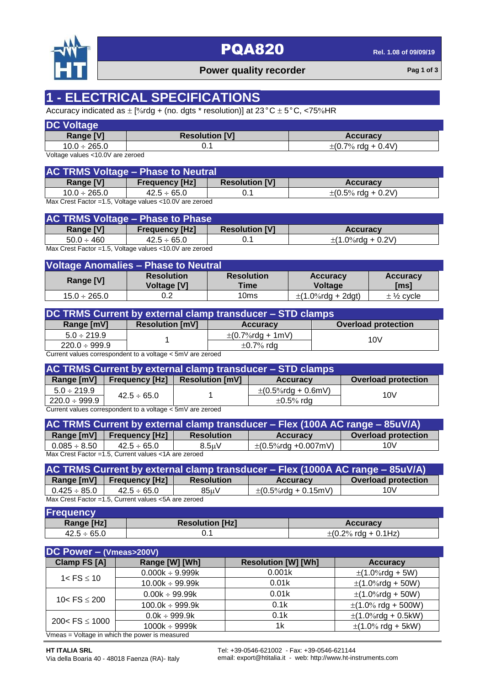

# **PQA820 Rel. 1.08** of 09/09/19

## **Power quality recorder Pag 1** of 3

# **1 - ELECTRICAL SPECIFICATIONS**

Accuracy indicated as  $\pm$  [%rdg + (no. dgts \* resolution)] at 23 °C  $\pm$  5 °C, <75%HR

| <b>DC Voltage</b> |                       |                                         |
|-------------------|-----------------------|-----------------------------------------|
| <b>Range [V]</b>  | <b>Resolution [V]</b> | <b>Accuracy</b>                         |
| $10.0 \div 265.0$ |                       | $\pm (0.7\% \text{ rdg} + 0.4\text{V})$ |

Voltage values <10.0V are zeroed

| <b>AC TRMS Voltage - Phase to Neutral</b> |                       |                       |                                         |  |
|-------------------------------------------|-----------------------|-----------------------|-----------------------------------------|--|
| <b>Range [V]</b>                          | <b>Frequency [Hz]</b> | <b>Resolution [V]</b> | <b>Accuracy</b>                         |  |
| $10.0 \div 265.0$                         | $42.5 \div 65.0$      |                       | $\pm (0.5\% \text{ rdg} + 0.2\text{V})$ |  |

Max Crest Factor =1.5, Voltage values <10.0V are zeroed

|                  | <b>AC TRMS Voltage - Phase to Phase</b>                                                     |                       |                        |
|------------------|---------------------------------------------------------------------------------------------|-----------------------|------------------------|
| <b>Range [V]</b> | <b>Frequency [Hz]</b>                                                                       | <b>Resolution [V]</b> | <b>Accuracy</b>        |
| $50.0 \div 460$  | $42.5 \div 65.0$                                                                            |                       | $\pm$ (1.0%rda + 0.2V) |
|                  | May $Q_{\text{inst}}$ $\Gamma_{\text{relax}}$ $A \Gamma$ Maltesa values $A \Omega$ $\Omega$ |                       |                        |

Max Crest Factor =1.5, Voltage values <10.0V are zeroed

| Voltage Anomalies - Phase to Neutral |                                         |                           |                            |                             |
|--------------------------------------|-----------------------------------------|---------------------------|----------------------------|-----------------------------|
| Range [V]                            | <b>Resolution</b><br><b>Voltage [V]</b> | <b>Resolution</b><br>Time | <b>Accuracy</b><br>Voltage | <b>Accuracy</b><br>[ms]     |
| $15.0 \div 265.0$                    |                                         | 10ms                      | $\pm$ (1.0%rdg + 2dgt)     | $\pm$ 1/ <sub>2</sub> cycle |

| DC TRMS Current by external clamp transducer – STD clamps |                        |                                        |                            |  |
|-----------------------------------------------------------|------------------------|----------------------------------------|----------------------------|--|
| Range [mV]                                                | <b>Resolution [mV]</b> | <b>Accuracy</b>                        | <b>Overload protection</b> |  |
| $5.0 \div 219.9$                                          |                        | $\pm (0.7\% \text{rdg} + 1 \text{mV})$ | 10V                        |  |
| $220.0 \div 999.9$                                        |                        | $\pm$ 0.7% rdg                         |                            |  |

Current values correspondent to a voltage < 5mV are zeroed

| <b>AC TRMS Current by external clamp transducer - STD clamps</b> |                  |                                    |                           |                            |
|------------------------------------------------------------------|------------------|------------------------------------|---------------------------|----------------------------|
| Range [mV]                                                       |                  | Frequency $[Hz]$ Resolution $[mV]$ | <b>Accuracy</b>           | <b>Overload protection</b> |
| $5.0 \div 219.9$                                                 | $42.5 \div 65.0$ |                                    | $\pm (0.5\%$ rdg + 0.6mV) | 10V                        |
| $220.0 \div 999.9$                                               |                  |                                    | $\pm 0.5\%$ rdg           |                            |

Current values correspondent to a voltage < 5mV are zeroed

| AC TRMS Current by external clamp transducer - Flex (100A AC range - 85uV/A) |                       |                    |                            |                            |
|------------------------------------------------------------------------------|-----------------------|--------------------|----------------------------|----------------------------|
| Range [mV]                                                                   | <b>Frequency [Hz]</b> | <b>Resolution</b>  | <b>Accuracy</b>            | <b>Overload protection</b> |
| $0.085 \div 8.50$                                                            | $42.5 \div 65.0$      | 8.5 <sub>u</sub> V | $\pm (0.5\%$ rdg +0.007mV) | 10V                        |
| Max Crest Factor = 1.5, Current values < 1A are zeroed                       |                       |                    |                            |                            |

| AC TRMS Current by external clamp transducer - Flex (1000A AC range - 85uV/A) |                             |                   |                            |                            |
|-------------------------------------------------------------------------------|-----------------------------|-------------------|----------------------------|----------------------------|
|                                                                               | Range [mV]   Frequency [Hz] | <b>Resolution</b> | <b>Accuracy</b>            | <b>Overload protection</b> |
| $0.425\div85.0$                                                               | $42.5 \div 65.0$            | 85uV              | $\pm (0.5\%$ rdg + 0.15mV) | 10V                        |

Max Crest Factor =1.5, Current values <5A are zeroed

| <b>Frequency</b> |                        |                                           |
|------------------|------------------------|-------------------------------------------|
| Range [Hz]       | <b>Resolution [Hz]</b> | <b>Accuracy</b>                           |
| $42.5 \div 65.0$ |                        | $\pm (0.2\% \text{ rdg} + 0.1 \text{Hz})$ |

| DC Power $-$ (Vmeas>200V)                                          |                      |                            |                         |  |  |
|--------------------------------------------------------------------|----------------------|----------------------------|-------------------------|--|--|
| Clamp FS [A]                                                       | Range [W] [Wh]       | <b>Resolution [W] [Wh]</b> | <b>Accuracy</b>         |  |  |
| $1 <$ FS $\leq 10$                                                 | $0.000k \div 9.999k$ | 0.001k                     | $\pm$ (1.0%rdg + 5W)    |  |  |
|                                                                    | $10.00k \div 99.99k$ | 0.01k                      | $\pm$ (1.0%rdg + 50W)   |  |  |
| 10< $FS \le 200$                                                   | $0.00k \div 99.99k$  | 0.01k                      | $\pm$ (1.0%rdg + 50W)   |  |  |
|                                                                    | $100.0k \div 999.9k$ | 0.1k                       | $\pm$ (1.0% rdg + 500W) |  |  |
| 200< $FS \le 1000$                                                 | $0.0k \div 999.9k$   | 0.1k                       | $\pm$ (1.0%rdg + 0.5kW) |  |  |
|                                                                    | $1000k \div 9999k$   | 1k                         | $\pm$ (1.0% rdg + 5kW)  |  |  |
| $V_{\text{max}} = V_{\text{other}}$ in which the nower is measured |                      |                            |                         |  |  |

Vmeas = Voltage in which the power is measured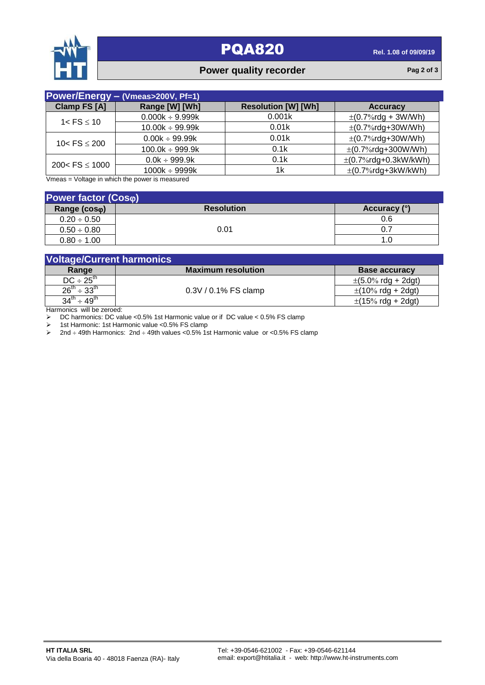

## **PQA820 Rel. 1.08** of 09/09/19

## **Power quality recorder Pag 2** of 3

| Power/Energy - (Vmeas>200V, Pf=1) |                      |                            |                           |  |  |
|-----------------------------------|----------------------|----------------------------|---------------------------|--|--|
| Clamp FS [A]                      | Range [W] [Wh]       | <b>Resolution [W] [Wh]</b> | <b>Accuracy</b>           |  |  |
| $1 <$ FS $\leq 10$                | $0.000k \div 9.999k$ | 0.001k                     | $\pm (0.7\%$ rdg + 3W/Wh) |  |  |
|                                   | $10.00k \div 99.99k$ | 0.01k                      | $\pm$ (0.7%rdg+30W/Wh)    |  |  |
| 10< $FS \le 200$                  | $0.00k \div 99.99k$  | 0.01k                      | $\pm$ (0.7%rdg+30W/Wh)    |  |  |
|                                   | $100.0k \div 999.9k$ | 0.1k                       | $\pm$ (0.7%rdg+300W/Wh)   |  |  |
| 200< $FS \le 1000$                | $0.0k \div 999.9k$   | 0.1k                       | $\pm$ (0.7%rdg+0.3kW/kWh) |  |  |
|                                   | $1000k \div 9999k$   | 1k                         | $\pm$ (0.7%rdg+3kW/kWh)   |  |  |

Vmeas = Voltage in which the power is measured

| <b>Power factor (Coso)</b> |                   |              |  |  |
|----------------------------|-------------------|--------------|--|--|
| Range (coso)               | <b>Resolution</b> | Accuracy (°) |  |  |
| $0.20 \div 0.50$           |                   | 0.6          |  |  |
| $0.50 \div 0.80$           | 0.01              | -0.7         |  |  |
| $0.80 \div 1.00$           |                   | 1.0          |  |  |

| <b>Voltage/Current harmonics</b> |                           |                                          |  |
|----------------------------------|---------------------------|------------------------------------------|--|
| Range                            | <b>Maximum resolution</b> | <b>Base accuracy</b>                     |  |
| $DC \div 25^{th}$                | 0.3V / 0.1% FS clamp      | $\pm (5.0\% \text{ rdg} + 2 \text{dg}t)$ |  |
| $26^{th} \div 33^{th}$           |                           | $\pm$ (10% rdg + 2dgt)                   |  |
| $34^{th} \div 49^{th}$           |                           | $\pm(15\% \text{ rdg} + 2\text{dgt})$    |  |

Harmonics will be zeroed:

DC harmonics: DC value <0.5% 1st Harmonic value or if DC value < 0.5% FS clamp<br>
> 1st Harmonic: 1st Harmonic value <0.5% FS clamp

> 1st Harmonic: 1st Harmonic value <0.5% FS clamp<br>
→ 2nd ÷ 49th Harmonics: 2nd ÷ 49th values <0.5% 1s

2nd  $\div$  49th Harmonics: 2nd  $\div$  49th values <0.5% 1st Harmonic value or <0.5% FS clamp